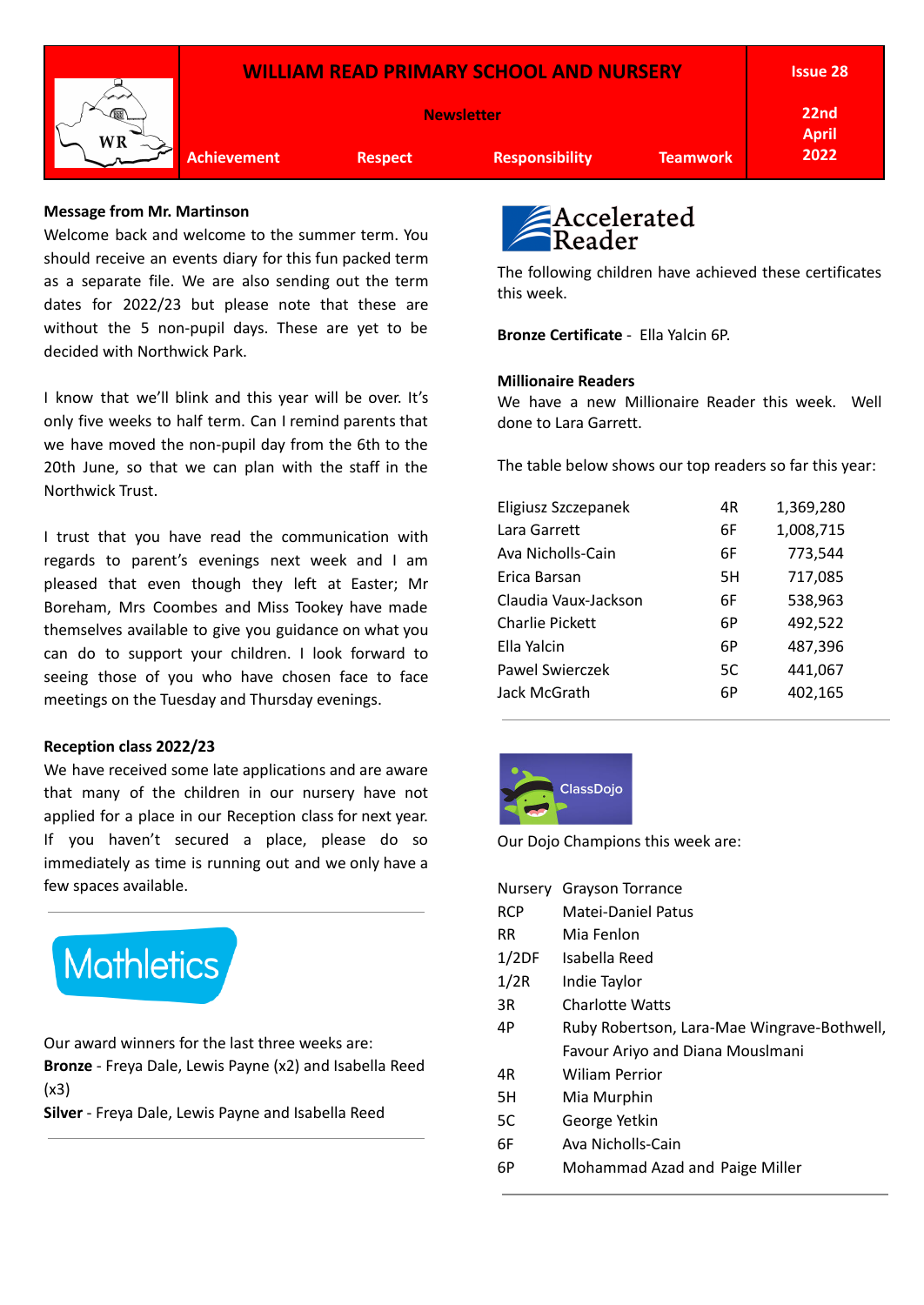

## **Message from Mr. Martinson**

Welcome back and welcome to the summer term. You should receive an events diary for this fun packed term as a separate file. We are also sending out the term dates for 2022/23 but please note that these are without the 5 non-pupil days. These are yet to be decided with Northwick Park.

I know that we'll blink and this year will be over. It's only five weeks to half term. Can I remind parents that we have moved the non-pupil day from the 6th to the 20th June, so that we can plan with the staff in the Northwick Trust.

I trust that you have read the communication with regards to parent's evenings next week and I am pleased that even though they left at Easter; Mr Boreham, Mrs Coombes and Miss Tookey have made themselves available to give you guidance on what you can do to support your children. I look forward to seeing those of you who have chosen face to face meetings on the Tuesday and Thursday evenings.

## **Reception class 2022/23**

We have received some late applications and are aware that many of the children in our nursery have not applied for a place in our Reception class for next year. If you haven't secured a place, please do so immediately as time is running out and we only have a few spaces available.

## **Mathletics**

Our award winners for the last three weeks are: **Bronze** - Freya Dale, Lewis Payne (x2) and Isabella Reed (x3)

**Silver** - Freya Dale, Lewis Payne and Isabella Reed



The following children have achieved these certificates this week.

**Bronze Certificate** - Ella Yalcin 6P.

## **Millionaire Readers**

We have a new Millionaire Reader this week. Well done to Lara Garrett.

The table below shows our top readers so far this year:

| Eligiusz Szczepanek    | 4R | 1,369,280 |
|------------------------|----|-----------|
| Lara Garrett           | 6F | 1,008,715 |
| Ava Nicholls-Cain      | 6F | 773,544   |
| Erica Barsan           | 5H | 717,085   |
| Claudia Vaux-Jackson   | 6F | 538,963   |
| <b>Charlie Pickett</b> | 6P | 492,522   |
| Ella Yalcin            | 6P | 487,396   |
| Pawel Swierczek        | 5C | 441,067   |
| Jack McGrath           | 6Р | 402,165   |
|                        |    |           |



Our Dojo Champions this week are:

|            | Nursery Grayson Torrance                    |
|------------|---------------------------------------------|
| <b>RCP</b> | Matei-Daniel Patus                          |
| RR         | Mia Fenlon                                  |
| 1/2DF      | Isabella Reed                               |
| 1/2R       | Indie Taylor                                |
| 3R         | Charlotte Watts                             |
| 4P         | Ruby Robertson, Lara-Mae Wingrave-Bothwell, |
|            | Favour Ariyo and Diana Mouslmani            |
| 4R         | Wiliam Perrior                              |
| 5H         | Mia Murphin                                 |
| 5C         | George Yetkin                               |
| 6F         | Ava Nicholls-Cain                           |
| 6Р         | Mohammad Azad and Paige Miller              |
|            |                                             |